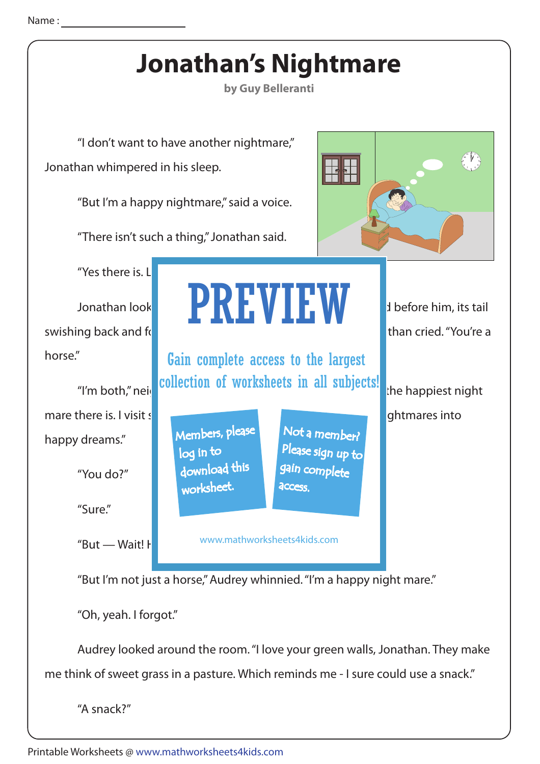

me think of sweet grass in a pasture. Which reminds me - I sure could use a snack."

"A snack?"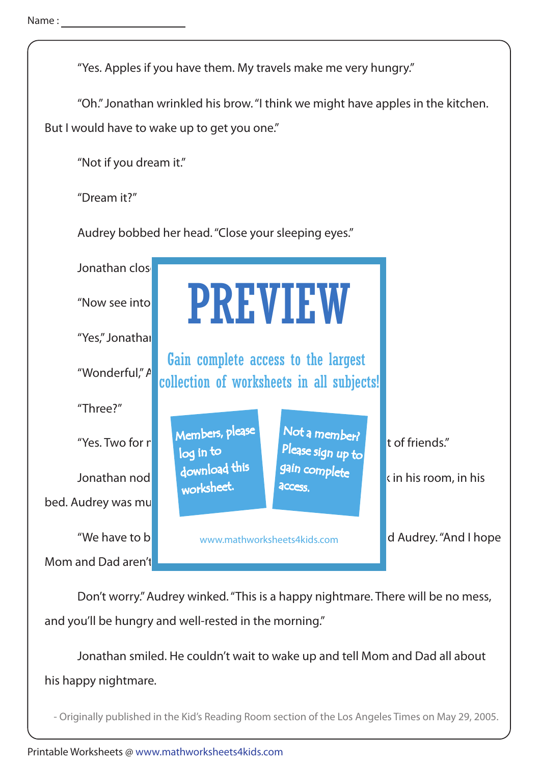

 Don't worry." Audrey winked. "This is a happy nightmare. There will be no mess, and you'll be hungry and well-rested in the morning."

 Jonathan smiled. He couldn't wait to wake up and tell Mom and Dad all about his happy nightmare.

- Originally published in the Kid's Reading Room section of the Los Angeles Times on May 29, 2005.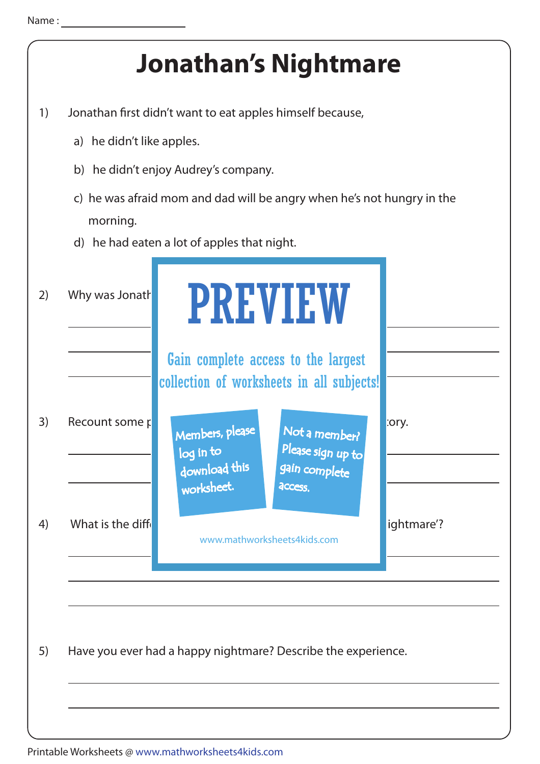